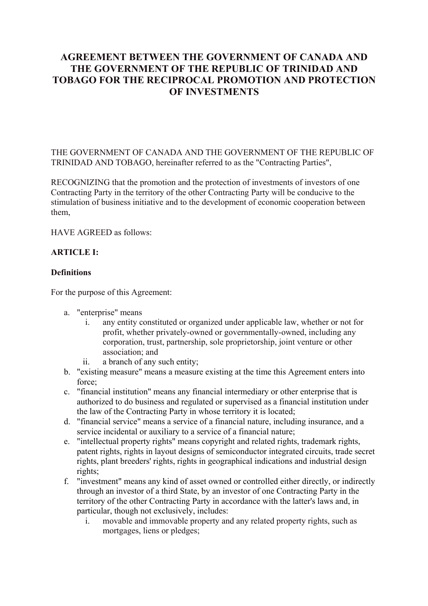# **AGREEMENT BETWEEN THE GOVERNMENT OF CANADA AND THE GOVERNMENT OF THE REPUBLIC OF TRINIDAD AND TOBAGO FOR THE RECIPROCAL PROMOTION AND PROTECTION OF INVESTMENTS**

THE GOVERNMENT OF CANADA AND THE GOVERNMENT OF THE REPUBLIC OF TRINIDAD AND TOBAGO, hereinafter referred to as the "Contracting Parties",

RECOGNIZING that the promotion and the protection of investments of investors of one Contracting Party in the territory of the other Contracting Party will be conducive to the stimulation of business initiative and to the development of economic cooperation between them,

HAVE AGREED as follows:

## **ARTICLE I:**

### **Definitions**

For the purpose of this Agreement:

- a. "enterprise" means
	- i. any entity constituted or organized under applicable law, whether or not for profit, whether privately-owned or governmentally-owned, including any corporation, trust, partnership, sole proprietorship, joint venture or other association; and
	- ii. a branch of any such entity;
- b. "existing measure" means a measure existing at the time this Agreement enters into force;
- c. "financial institution" means any financial intermediary or other enterprise that is authorized to do business and regulated or supervised as a financial institution under the law of the Contracting Party in whose territory it is located;
- d. "financial service" means a service of a financial nature, including insurance, and a service incidental or auxiliary to a service of a financial nature;
- e. "intellectual property rights" means copyright and related rights, trademark rights, patent rights, rights in layout designs of semiconductor integrated circuits, trade secret rights, plant breeders' rights, rights in geographical indications and industrial design rights;
- f. "investment" means any kind of asset owned or controlled either directly, or indirectly through an investor of a third State, by an investor of one Contracting Party in the territory of the other Contracting Party in accordance with the latter's laws and, in particular, though not exclusively, includes:
	- i. movable and immovable property and any related property rights, such as mortgages, liens or pledges;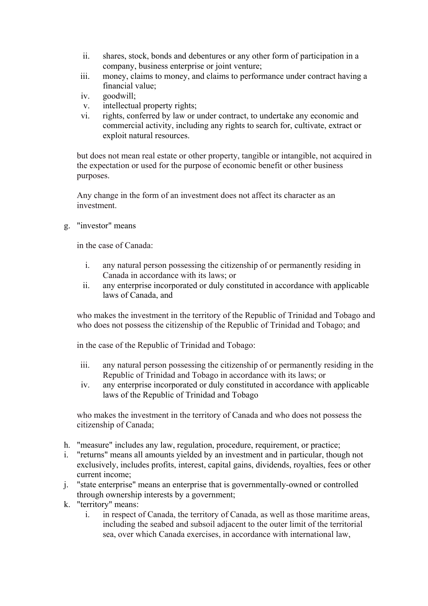- ii. shares, stock, bonds and debentures or any other form of participation in a company, business enterprise or joint venture;
- iii. money, claims to money, and claims to performance under contract having a financial value;
- iv. goodwill;
- v. intellectual property rights;
- vi. rights, conferred by law or under contract, to undertake any economic and commercial activity, including any rights to search for, cultivate, extract or exploit natural resources.

but does not mean real estate or other property, tangible or intangible, not acquired in the expectation or used for the purpose of economic benefit or other business purposes.

Any change in the form of an investment does not affect its character as an investment.

g. "investor" means

in the case of Canada:

- i. any natural person possessing the citizenship of or permanently residing in Canada in accordance with its laws; or
- ii. any enterprise incorporated or duly constituted in accordance with applicable laws of Canada, and

who makes the investment in the territory of the Republic of Trinidad and Tobago and who does not possess the citizenship of the Republic of Trinidad and Tobago; and

in the case of the Republic of Trinidad and Tobago:

- iii. any natural person possessing the citizenship of or permanently residing in the Republic of Trinidad and Tobago in accordance with its laws; or
- iv. any enterprise incorporated or duly constituted in accordance with applicable laws of the Republic of Trinidad and Tobago

who makes the investment in the territory of Canada and who does not possess the citizenship of Canada;

- h. "measure" includes any law, regulation, procedure, requirement, or practice;
- i. "returns" means all amounts yielded by an investment and in particular, though not exclusively, includes profits, interest, capital gains, dividends, royalties, fees or other current income;
- j. "state enterprise" means an enterprise that is governmentally-owned or controlled through ownership interests by a government;
- k. "territory" means:
	- i. in respect of Canada, the territory of Canada, as well as those maritime areas, including the seabed and subsoil adjacent to the outer limit of the territorial sea, over which Canada exercises, in accordance with international law,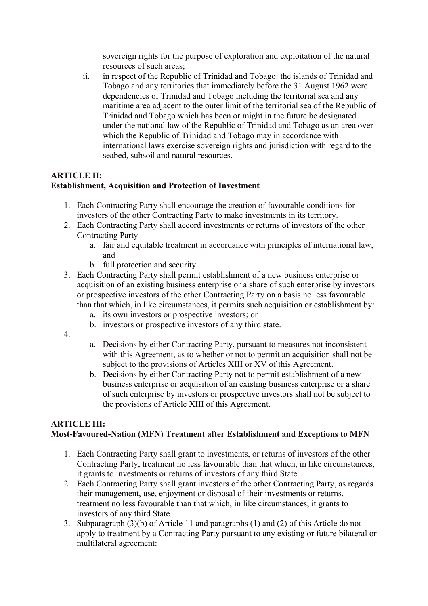sovereign rights for the purpose of exploration and exploitation of the natural resources of such areas;

ii. in respect of the Republic of Trinidad and Tobago: the islands of Trinidad and Tobago and any territories that immediately before the 31 August 1962 were dependencies of Trinidad and Tobago including the territorial sea and any maritime area adjacent to the outer limit of the territorial sea of the Republic of Trinidad and Tobago which has been or might in the future be designated under the national law of the Republic of Trinidad and Tobago as an area over which the Republic of Trinidad and Tobago may in accordance with international laws exercise sovereign rights and jurisdiction with regard to the seabed, subsoil and natural resources.

## **ARTICLE II: Establishment, Acquisition and Protection of Investment**

- 1. Each Contracting Party shall encourage the creation of favourable conditions for investors of the other Contracting Party to make investments in its territory.
- 2. Each Contracting Party shall accord investments or returns of investors of the other Contracting Party
	- a. fair and equitable treatment in accordance with principles of international law, and
	- b. full protection and security.
- 3. Each Contracting Party shall permit establishment of a new business enterprise or acquisition of an existing business enterprise or a share of such enterprise by investors or prospective investors of the other Contracting Party on a basis no less favourable than that which, in like circumstances, it permits such acquisition or establishment by:
	- a. its own investors or prospective investors; or
	- b. investors or prospective investors of any third state.
- 4.
- a. Decisions by either Contracting Party, pursuant to measures not inconsistent with this Agreement, as to whether or not to permit an acquisition shall not be subject to the provisions of Articles XIII or XV of this Agreement.
- b. Decisions by either Contracting Party not to permit establishment of a new business enterprise or acquisition of an existing business enterprise or a share of such enterprise by investors or prospective investors shall not be subject to the provisions of Article XIII of this Agreement.

### **ARTICLE III: Most-Favoured-Nation (MFN) Treatment after Establishment and Exceptions to MFN**

- 1. Each Contracting Party shall grant to investments, or returns of investors of the other Contracting Party, treatment no less favourable than that which, in like circumstances, it grants to investments or returns of investors of any third State.
- 2. Each Contracting Party shall grant investors of the other Contracting Party, as regards their management, use, enjoyment or disposal of their investments or returns, treatment no less favourable than that which, in like circumstances, it grants to investors of any third State.
- 3. Subparagraph (3)(b) of Article 11 and paragraphs (1) and (2) of this Article do not apply to treatment by a Contracting Party pursuant to any existing or future bilateral or multilateral agreement: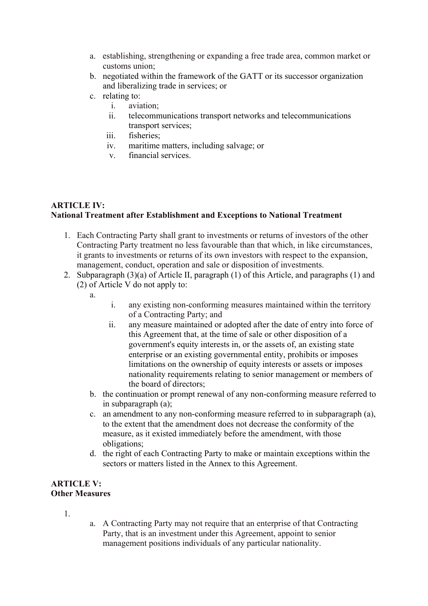- a. establishing, strengthening or expanding a free trade area, common market or customs union;
- b. negotiated within the framework of the GATT or its successor organization and liberalizing trade in services; or
- c. relating to:
	- i. aviation;
	- ii. telecommunications transport networks and telecommunications transport services;
	- iii. fisheries;
	- iv. maritime matters, including salvage; or
	- v. financial services.

# **ARTICLE IV: National Treatment after Establishment and Exceptions to National Treatment**

- 1. Each Contracting Party shall grant to investments or returns of investors of the other Contracting Party treatment no less favourable than that which, in like circumstances, it grants to investments or returns of its own investors with respect to the expansion, management, conduct, operation and sale or disposition of investments.
- 2. Subparagraph (3)(a) of Article II, paragraph (1) of this Article, and paragraphs (1) and (2) of Article V do not apply to:
	- a.
- i. any existing non-conforming measures maintained within the territory of a Contracting Party; and
- ii. any measure maintained or adopted after the date of entry into force of this Agreement that, at the time of sale or other disposition of a government's equity interests in, or the assets of, an existing state enterprise or an existing governmental entity, prohibits or imposes limitations on the ownership of equity interests or assets or imposes nationality requirements relating to senior management or members of the board of directors;
- b. the continuation or prompt renewal of any non-conforming measure referred to in subparagraph (a);
- c. an amendment to any non-conforming measure referred to in subparagraph (a), to the extent that the amendment does not decrease the conformity of the measure, as it existed immediately before the amendment, with those obligations;
- d. the right of each Contracting Party to make or maintain exceptions within the sectors or matters listed in the Annex to this Agreement.

#### **ARTICLE V: Other Measures**

- 1.
- a. A Contracting Party may not require that an enterprise of that Contracting Party, that is an investment under this Agreement, appoint to senior management positions individuals of any particular nationality.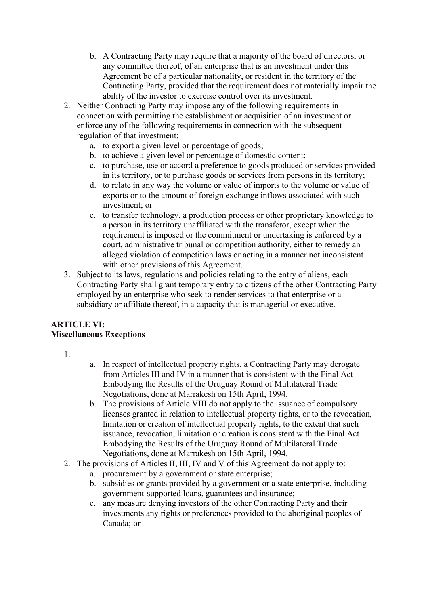- b. A Contracting Party may require that a majority of the board of directors, or any committee thereof, of an enterprise that is an investment under this Agreement be of a particular nationality, or resident in the territory of the Contracting Party, provided that the requirement does not materially impair the ability of the investor to exercise control over its investment.
- 2. Neither Contracting Party may impose any of the following requirements in connection with permitting the establishment or acquisition of an investment or enforce any of the following requirements in connection with the subsequent regulation of that investment:
	- a. to export a given level or percentage of goods;
	- b. to achieve a given level or percentage of domestic content;
	- c. to purchase, use or accord a preference to goods produced or services provided in its territory, or to purchase goods or services from persons in its territory;
	- d. to relate in any way the volume or value of imports to the volume or value of exports or to the amount of foreign exchange inflows associated with such investment; or
	- e. to transfer technology, a production process or other proprietary knowledge to a person in its territory unaffiliated with the transferor, except when the requirement is imposed or the commitment or undertaking is enforced by a court, administrative tribunal or competition authority, either to remedy an alleged violation of competition laws or acting in a manner not inconsistent with other provisions of this Agreement.
- 3. Subject to its laws, regulations and policies relating to the entry of aliens, each Contracting Party shall grant temporary entry to citizens of the other Contracting Party employed by an enterprise who seek to render services to that enterprise or a subsidiary or affiliate thereof, in a capacity that is managerial or executive.

### **ARTICLE VI: Miscellaneous Exceptions**

1.

- a. In respect of intellectual property rights, a Contracting Party may derogate from Articles III and IV in a manner that is consistent with the Final Act Embodying the Results of the Uruguay Round of Multilateral Trade Negotiations, done at Marrakesh on 15th April, 1994.
- b. The provisions of Article VIII do not apply to the issuance of compulsory licenses granted in relation to intellectual property rights, or to the revocation, limitation or creation of intellectual property rights, to the extent that such issuance, revocation, limitation or creation is consistent with the Final Act Embodying the Results of the Uruguay Round of Multilateral Trade Negotiations, done at Marrakesh on 15th April, 1994.
- 2. The provisions of Articles II, III, IV and V of this Agreement do not apply to:
	- a. procurement by a government or state enterprise;
	- b. subsidies or grants provided by a government or a state enterprise, including government-supported loans, guarantees and insurance;
	- c. any measure denying investors of the other Contracting Party and their investments any rights or preferences provided to the aboriginal peoples of Canada; or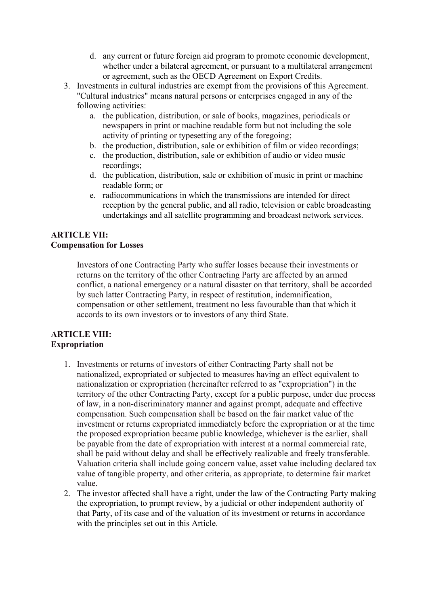- d. any current or future foreign aid program to promote economic development, whether under a bilateral agreement, or pursuant to a multilateral arrangement or agreement, such as the OECD Agreement on Export Credits.
- 3. Investments in cultural industries are exempt from the provisions of this Agreement. "Cultural industries" means natural persons or enterprises engaged in any of the following activities:
	- a. the publication, distribution, or sale of books, magazines, periodicals or newspapers in print or machine readable form but not including the sole activity of printing or typesetting any of the foregoing;
	- b. the production, distribution, sale or exhibition of film or video recordings;
	- c. the production, distribution, sale or exhibition of audio or video music recordings;
	- d. the publication, distribution, sale or exhibition of music in print or machine readable form; or
	- e. radiocommunications in which the transmissions are intended for direct reception by the general public, and all radio, television or cable broadcasting undertakings and all satellite programming and broadcast network services.

### **ARTICLE VII: Compensation for Losses**

Investors of one Contracting Party who suffer losses because their investments or returns on the territory of the other Contracting Party are affected by an armed conflict, a national emergency or a natural disaster on that territory, shall be accorded by such latter Contracting Party, in respect of restitution, indemnification, compensation or other settlement, treatment no less favourable than that which it accords to its own investors or to investors of any third State.

### **ARTICLE VIII: Expropriation**

- 1. Investments or returns of investors of either Contracting Party shall not be nationalized, expropriated or subjected to measures having an effect equivalent to nationalization or expropriation (hereinafter referred to as "expropriation") in the territory of the other Contracting Party, except for a public purpose, under due process of law, in a non-discriminatory manner and against prompt, adequate and effective compensation. Such compensation shall be based on the fair market value of the investment or returns expropriated immediately before the expropriation or at the time the proposed expropriation became public knowledge, whichever is the earlier, shall be payable from the date of expropriation with interest at a normal commercial rate, shall be paid without delay and shall be effectively realizable and freely transferable. Valuation criteria shall include going concern value, asset value including declared tax value of tangible property, and other criteria, as appropriate, to determine fair market value.
- 2. The investor affected shall have a right, under the law of the Contracting Party making the expropriation, to prompt review, by a judicial or other independent authority of that Party, of its case and of the valuation of its investment or returns in accordance with the principles set out in this Article.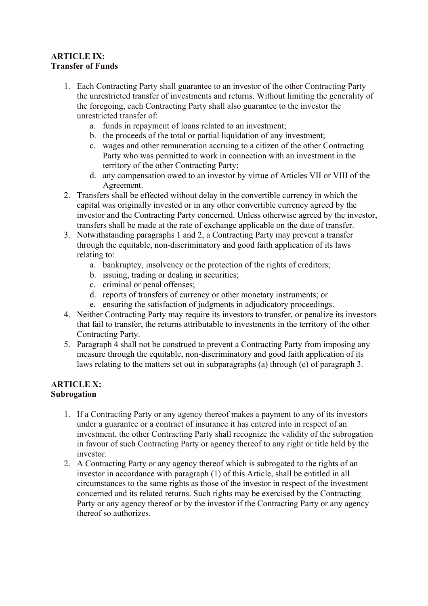# **ARTICLE IX: Transfer of Funds**

- 1. Each Contracting Party shall guarantee to an investor of the other Contracting Party the unrestricted transfer of investments and returns. Without limiting the generality of the foregoing, each Contracting Party shall also guarantee to the investor the unrestricted transfer of:
	- a. funds in repayment of loans related to an investment;
	- b. the proceeds of the total or partial liquidation of any investment;
	- c. wages and other remuneration accruing to a citizen of the other Contracting Party who was permitted to work in connection with an investment in the territory of the other Contracting Party;
	- d. any compensation owed to an investor by virtue of Articles VII or VIII of the Agreement.
- 2. Transfers shall be effected without delay in the convertible currency in which the capital was originally invested or in any other convertible currency agreed by the investor and the Contracting Party concerned. Unless otherwise agreed by the investor, transfers shall be made at the rate of exchange applicable on the date of transfer.
- 3. Notwithstanding paragraphs 1 and 2, a Contracting Party may prevent a transfer through the equitable, non-discriminatory and good faith application of its laws relating to:
	- a. bankruptcy, insolvency or the protection of the rights of creditors;
	- b. issuing, trading or dealing in securities;
	- c. criminal or penal offenses;
	- d. reports of transfers of currency or other monetary instruments; or
	- e. ensuring the satisfaction of judgments in adjudicatory proceedings.
- 4. Neither Contracting Party may require its investors to transfer, or penalize its investors that fail to transfer, the returns attributable to investments in the territory of the other Contracting Party.
- 5. Paragraph 4 shall not be construed to prevent a Contracting Party from imposing any measure through the equitable, non-discriminatory and good faith application of its laws relating to the matters set out in subparagraphs (a) through (e) of paragraph 3.

### **ARTICLE X: Subrogation**

- 1. If a Contracting Party or any agency thereof makes a payment to any of its investors under a guarantee or a contract of insurance it has entered into in respect of an investment, the other Contracting Party shall recognize the validity of the subrogation in favour of such Contracting Party or agency thereof to any right or title held by the investor.
- 2. A Contracting Party or any agency thereof which is subrogated to the rights of an investor in accordance with paragraph (1) of this Article, shall be entitled in all circumstances to the same rights as those of the investor in respect of the investment concerned and its related returns. Such rights may be exercised by the Contracting Party or any agency thereof or by the investor if the Contracting Party or any agency thereof so authorizes.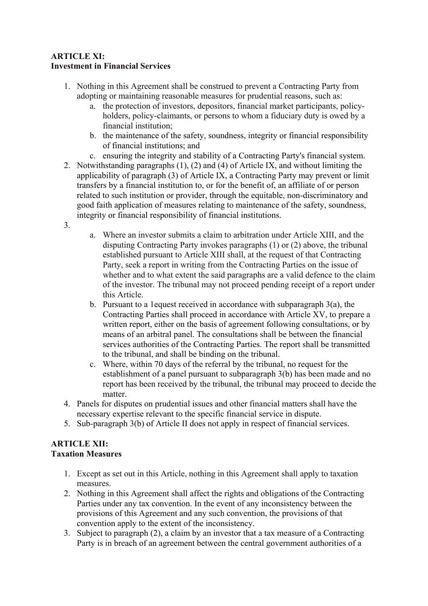## **ARTICLE XI: Investment in Financial Services**

- 1. Nothing in this Agreement shall be construed to prevent a Contracting Party from adopting or maintaining reasonable measures for prudential reasons, such as:
	- a. the protection of investors, depositors, financial market participants, policyholders, policy-claimants, or persons to whom a fiduciary duty is owed by a financial institution;
	- b. the maintenance of the safety, soundness, integrity or financial responsibility of financial institutions; and
	- c. ensuring the integrity and stability of a Contracting Party's financial system.
- 2. Notwithstanding paragraphs (1), (2) and (4) of Article IX, and without limiting the applicability of paragraph (3) of Article IX, a Contracting Party may prevent or limit transfers by a financial institution to, or for the benefit of, an affiliate of or person related to such institution or provider, through the equitable, non-discriminatory and good faith application of measures relating to maintenance of the safety, soundness, integrity or financial responsibility of financial institutions.
- 3.
- a. Where an investor submits a claim to arbitration under Article XIII, and the disputing Contracting Party invokes paragraphs (1) or (2) above, the tribunal established pursuant to Article XIII shall, at the request of that Contracting Party, seek a report in writing from the Contracting Parties on the issue of whether and to what extent the said paragraphs are a valid defence to the claim of the investor. The tribunal may not proceed pending receipt of a report under this Article.
- b. Pursuant to a 1equest received in accordance with subparagraph 3(a), the Contracting Parties shall proceed in accordance with Article XV, to prepare a written report, either on the basis of agreement following consultations, or by means of an arbitral panel. The consultations shall be between the financial services authorities of the Contracting Parties. The report shall be transmitted to the tribunal, and shall be binding on the tribunal.
- c. Where, within 70 days of the referral by the tribunal, no request for the establishment of a panel pursuant to subparagraph 3(b) has been made and no report has been received by the tribunal, the tribunal may proceed to decide the matter.
- 4. Panels for disputes on prudential issues and other financial matters shall have the necessary expertise relevant to the specific financial service in dispute.
- 5. Sub-paragraph 3(b) of Article II does not apply in respect of financial services.

### **ARTICLE XII: Taxation Measures**

- 1. Except as set out in this Article, nothing in this Agreement shall apply to taxation measures.
- 2. Nothing in this Agreement shall affect the rights and obligations of the Contracting Parties under any tax convention. In the event of any inconsistency between the provisions of this Agreement and any such convention, the provisions of that convention apply to the extent of the inconsistency.
- 3. Subject to paragraph (2), a claim by an investor that a tax measure of a Contracting Party is in breach of an agreement between the central government authorities of a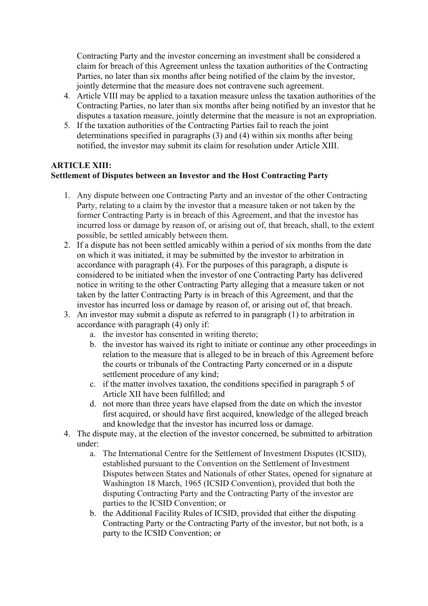Contracting Party and the investor concerning an investment shall be considered a claim for breach of this Agreement unless the taxation authorities of the Contracting Parties, no later than six months after being notified of the claim by the investor, jointly determine that the measure does not contravene such agreement.

- 4. Article VIII may be applied to a taxation measure unless the taxation authorities of the Contracting Parties, no later than six months after being notified by an investor that he disputes a taxation measure, jointly determine that the measure is not an expropriation.
- 5. If the taxation authorities of the Contracting Parties fail to reach the joint determinations specified in paragraphs (3) and (4) within six months after being notified, the investor may submit its claim for resolution under Article XIII.

# **ARTICLE XIII:**

# **Settlement of Disputes between an Investor and the Host Contracting Party**

- 1. Any dispute between one Contracting Party and an investor of the other Contracting Party, relating to a claim by the investor that a measure taken or not taken by the former Contracting Party is in breach of this Agreement, and that the investor has incurred loss or damage by reason of, or arising out of, that breach, shall, to the extent possible, be settled amicably between them.
- 2. If a dispute has not been settled amicably within a period of six months from the date on which it was initiated, it may be submitted by the investor to arbitration in accordance with paragraph (4). For the purposes of this paragraph, a dispute is considered to be initiated when the investor of one Contracting Party has delivered notice in writing to the other Contracting Party alleging that a measure taken or not taken by the latter Contracting Party is in breach of this Agreement, and that the investor has incurred loss or damage by reason of, or arising out of, that breach.
- 3. An investor may submit a dispute as referred to in paragraph (1) to arbitration in accordance with paragraph (4) only if:
	- a. the investor has consented in writing thereto;
	- b. the investor has waived its right to initiate or continue any other proceedings in relation to the measure that is alleged to be in breach of this Agreement before the courts or tribunals of the Contracting Party concerned or in a dispute settlement procedure of any kind;
	- c. if the matter involves taxation, the conditions specified in paragraph 5 of Article XII have been fulfilled; and
	- d. not more than three years have elapsed from the date on which the investor first acquired, or should have first acquired, knowledge of the alleged breach and knowledge that the investor has incurred loss or damage.
- 4. The dispute may, at the election of the investor concerned, be submitted to arbitration under:
	- a. The International Centre for the Settlement of Investment Disputes (ICSID), established pursuant to the Convention on the Settlement of Investment Disputes between States and Nationals of other States, opened for signature at Washington 18 March, 1965 (ICSID Convention), provided that both the disputing Contracting Party and the Contracting Party of the investor are parties to the ICSID Convention; or
	- b. the Additional Facility Rules of ICSID, provided that either the disputing Contracting Party or the Contracting Party of the investor, but not both, is a party to the ICSID Convention; or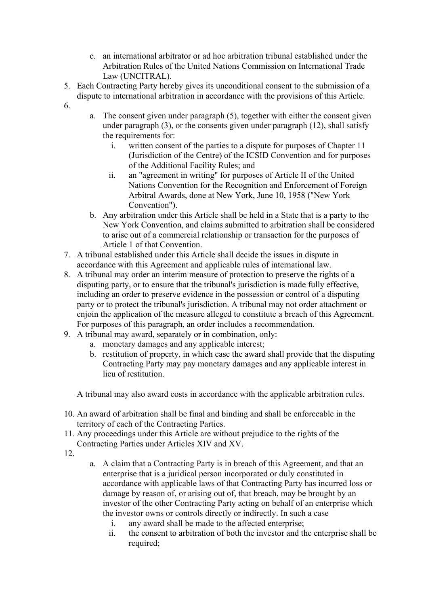- c. an international arbitrator or ad hoc arbitration tribunal established under the Arbitration Rules of the United Nations Commission on International Trade Law (UNCITRAL).
- 5. Each Contracting Party hereby gives its unconditional consent to the submission of a dispute to international arbitration in accordance with the provisions of this Article.
- 6.
- a. The consent given under paragraph (5), together with either the consent given under paragraph (3), or the consents given under paragraph (12), shall satisfy the requirements for:
	- i. written consent of the parties to a dispute for purposes of Chapter 11 (Jurisdiction of the Centre) of the ICSID Convention and for purposes of the Additional Facility Rules; and
	- ii. an "agreement in writing" for purposes of Article II of the United Nations Convention for the Recognition and Enforcement of Foreign Arbitral Awards, done at New York, June 10, 1958 ("New York Convention").
- b. Any arbitration under this Article shall be held in a State that is a party to the New York Convention, and claims submitted to arbitration shall be considered to arise out of a commercial relationship or transaction for the purposes of Article 1 of that Convention.
- 7. A tribunal established under this Article shall decide the issues in dispute in accordance with this Agreement and applicable rules of international law.
- 8. A tribunal may order an interim measure of protection to preserve the rights of a disputing party, or to ensure that the tribunal's jurisdiction is made fully effective, including an order to preserve evidence in the possession or control of a disputing party or to protect the tribunal's jurisdiction. A tribunal may not order attachment or enjoin the application of the measure alleged to constitute a breach of this Agreement. For purposes of this paragraph, an order includes a recommendation.
- 9. A tribunal may award, separately or in combination, only:
	- a. monetary damages and any applicable interest;
	- b. restitution of property, in which case the award shall provide that the disputing Contracting Party may pay monetary damages and any applicable interest in lieu of restitution.

A tribunal may also award costs in accordance with the applicable arbitration rules.

- 10. An award of arbitration shall be final and binding and shall be enforceable in the territory of each of the Contracting Parties.
- 11. Any proceedings under this Article are without prejudice to the rights of the Contracting Parties under Articles XIV and XV.
- 12.
- a. A claim that a Contracting Party is in breach of this Agreement, and that an enterprise that is a juridical person incorporated or duly constituted in accordance with applicable laws of that Contracting Party has incurred loss or damage by reason of, or arising out of, that breach, may be brought by an investor of the other Contracting Party acting on behalf of an enterprise which the investor owns or controls directly or indirectly. In such a case
	- i. any award shall be made to the affected enterprise;
	- ii. the consent to arbitration of both the investor and the enterprise shall be required;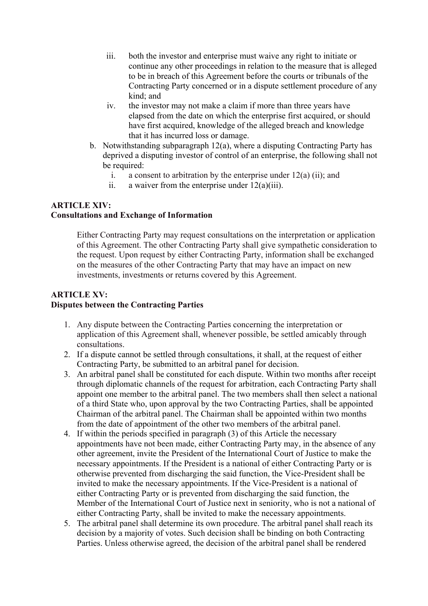- iii. both the investor and enterprise must waive any right to initiate or continue any other proceedings in relation to the measure that is alleged to be in breach of this Agreement before the courts or tribunals of the Contracting Party concerned or in a dispute settlement procedure of any kind; and
- iv. the investor may not make a claim if more than three years have elapsed from the date on which the enterprise first acquired, or should have first acquired, knowledge of the alleged breach and knowledge that it has incurred loss or damage.
- b. Notwithstanding subparagraph 12(a), where a disputing Contracting Party has deprived a disputing investor of control of an enterprise, the following shall not be required:
	- i. a consent to arbitration by the enterprise under  $12(a)$  (ii); and
	- ii. a waiver from the enterprise under  $12(a)(iii)$ .

# **ARTICLE XIV: Consultations and Exchange of Information**

Either Contracting Party may request consultations on the interpretation or application of this Agreement. The other Contracting Party shall give sympathetic consideration to the request. Upon request by either Contracting Party, information shall be exchanged on the measures of the other Contracting Party that may have an impact on new investments, investments or returns covered by this Agreement.

# **ARTICLE XV: Disputes between the Contracting Parties**

- 1. Any dispute between the Contracting Parties concerning the interpretation or application of this Agreement shall, whenever possible, be settled amicably through consultations.
- 2. If a dispute cannot be settled through consultations, it shall, at the request of either Contracting Party, be submitted to an arbitral panel for decision.
- 3. An arbitral panel shall be constituted for each dispute. Within two months after receipt through diplomatic channels of the request for arbitration, each Contracting Party shall appoint one member to the arbitral panel. The two members shall then select a national of a third State who, upon approval by the two Contracting Parties, shall be appointed Chairman of the arbitral panel. The Chairman shall be appointed within two months from the date of appointment of the other two members of the arbitral panel.
- 4. If within the periods specified in paragraph (3) of this Article the necessary appointments have not been made, either Contracting Party may, in the absence of any other agreement, invite the President of the International Court of Justice to make the necessary appointments. If the President is a national of either Contracting Party or is otherwise prevented from discharging the said function, the Vice-President shall be invited to make the necessary appointments. If the Vice-President is a national of either Contracting Party or is prevented from discharging the said function, the Member of the International Court of Justice next in seniority, who is not a national of either Contracting Party, shall be invited to make the necessary appointments.
- 5. The arbitral panel shall determine its own procedure. The arbitral panel shall reach its decision by a majority of votes. Such decision shall be binding on both Contracting Parties. Unless otherwise agreed, the decision of the arbitral panel shall be rendered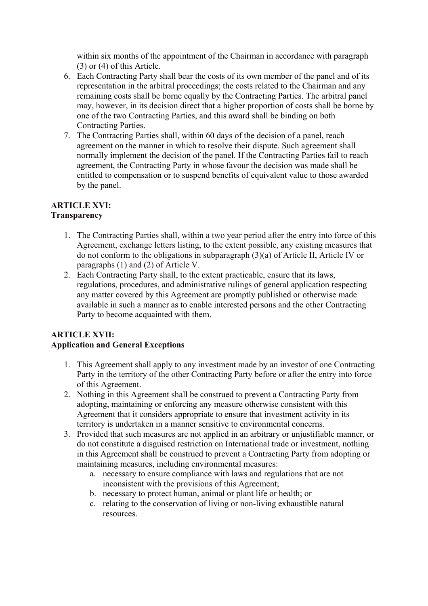within six months of the appointment of the Chairman in accordance with paragraph (3) or (4) of this Article.

- 6. Each Contracting Party shall bear the costs of its own member of the panel and of its representation in the arbitral proceedings; the costs related to the Chairman and any remaining costs shall be borne equally by the Contracting Parties. The arbitral panel may, however, in its decision direct that a higher proportion of costs shall be borne by one of the two Contracting Parties, and this award shall be binding on both Contracting Parties.
- 7. The Contracting Parties shall, within 60 days of the decision of a panel, reach agreement on the manner in which to resolve their dispute. Such agreement shall normally implement the decision of the panel. If the Contracting Parties fail to reach agreement, the Contracting Party in whose favour the decision was made shall be entitled to compensation or to suspend benefits of equivalent value to those awarded by the panel.

#### **ARTICLE XVI: Transparency**

- 1. The Contracting Parties shall, within a two year period after the entry into force of this Agreement, exchange letters listing, to the extent possible, any existing measures that do not conform to the obligations in subparagraph (3)(a) of Article II, Article IV or paragraphs (1) and (2) of Article V.
- 2. Each Contracting Party shall, to the extent practicable, ensure that its laws, regulations, procedures, and administrative rulings of general application respecting any matter covered by this Agreement are promptly published or otherwise made available in such a manner as to enable interested persons and the other Contracting Party to become acquainted with them.

# **ARTICLE XVII: Application and General Exceptions**

- 1. This Agreement shall apply to any investment made by an investor of one Contracting Party in the territory of the other Contracting Party before or after the entry into force of this Agreement.
- 2. Nothing in this Agreement shall be construed to prevent a Contracting Party from adopting, maintaining or enforcing any measure otherwise consistent with this Agreement that it considers appropriate to ensure that investment activity in its territory is undertaken in a manner sensitive to environmental concerns.
- 3. Provided that such measures are not applied in an arbitrary or unjustifiable manner, or do not constitute a disguised restriction on International trade or investment, nothing in this Agreement shall be construed to prevent a Contracting Party from adopting or maintaining measures, including environmental measures:
	- a. necessary to ensure compliance with laws and regulations that are not inconsistent with the provisions of this Agreement;
	- b. necessary to protect human, animal or plant life or health; or
	- c. relating to the conservation of living or non-living exhaustible natural resources.